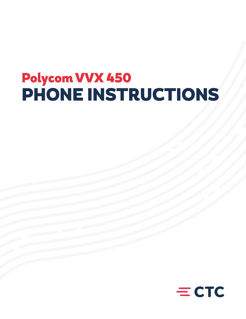# Polycom VVX 450 PHONE INSTRUCTIONS

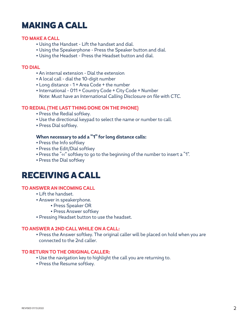# MAKING A CALL

#### **TO MAKE A CALL**

- Using the Handset Lift the handset and dial.
- Using the Speakerphone Press the Speaker button and dial.
- Using the Headset Press the Headset button and dial.

#### **TO DIAL**

- An internal extension Dial the extension
- A local call dial the 10-digit number
- Long distance 1 + Area Code + the number
- International 011 + Country Code + City Code + Number  *Note: Must have an International Calling Disclosure on file with CTC.*

#### **TO REDIAL (THE LAST THING DONE ON THE PHONE)**

- Press the Redial softkey.
- Use the directional keypad to select the name or number to call.
- Press Dial softkey.

#### **When necessary to add a "1" for long distance calls:**

- Press the Info softkey
- Press the Edit/Dial softkey
- Press the "<<" softkey to go to the beginning of the number to insert a "1".
- Press the Dial softkey

### RECEIVING A CALL

#### **TO ANSWER AN INCOMING CALL**

- Lift the handset.
- Answer in speakerphone.
	- Press Speaker OR
	- Press Answer softkey
- Pressing Headset button to use the headset.

#### **TO ANSWER A 2ND CALL WHILE ON A CALL:**

• Press the Answer softkey. The original caller will be placed on hold when you are connected to the 2nd caller.

#### **TO RETURN TO THE ORIGINAL CALLER:**

- Use the navigation key to highlight the call you are returning to.
- Press the Resume softkey.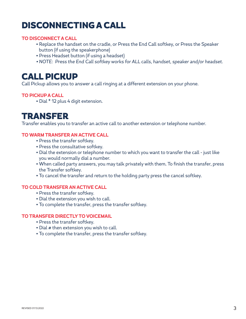# DISCONNECTING A CALL

#### **TO DISCONNECT A CALL**

- Replace the handset on the cradle, or Press the End Call softkey, or Press the Speaker button (if using the speakerphone)
- Press Headset button (if using a headset)
- *• NOTE: Press the End Call softkey works for ALL calls, handset, speaker and/or headset.*

### CALL PICKUP

Call Pickup allows you to answer a call ringing at a different extension on your phone.

#### **TO PICKUP A CALL**

• Dial \* 12 plus 4 digit extension.

### TRANSFER

Transfer enables you to transfer an active call to another extension or telephone number.

#### **TO WARM TRANSFER AN ACTIVE CALL**

- Press the transfer softkey.
- Press the consultative softkey.
- Dial the extension or telephone number to which you want to transfer the call just like you would normally dial a number.
- When called party answers, you may talk privately with them. To finish the transfer, press the Transfer softkey.
- To cancel the transfer and return to the holding party press the cancel softkey.

#### **TO COLD TRANSFER AN ACTIVE CALL**

- Press the transfer softkey.
- Dial the extension you wish to call.
- To complete the transfer, press the transfer softkey.

#### **TO TRANSFER DIRECTLY TO VOICEMAIL**

- Press the transfer softkey.
- Dial # then extension you wish to call.
- To complete the transfer, press the transfer softkey.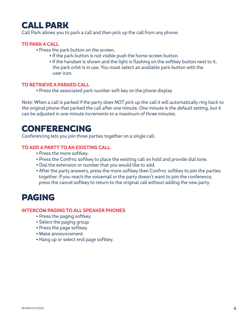### CALL PARK

Call Park allows you to park a call and then pick up the call from any phone.

#### **TO PARK A CALL**

- Press the park button on the screen.
	- If the park button is not visible push the home screen button.
	- If the handset is shown and the light is flashing on the softkey button next to it, the park orbit is in use. You must select an available park button with the user icon.

#### **TO RETRIEVE A PARKED CALL**

• Press the associated park number soft key on the phone display

*Note: When a call is parked if the party does NOT pick up the call it will automatically ring back to*  the original phone that parked the call after one minute. One minute is the default setting, but it *can be adjusted in one minute increments to a maximum of three minutes.* 

### CONFERENCING

Conferencing lets you join three parties together on a single call.

#### **TO ADD A PARTY TO AN EXISTING CALL**

- Press the more softkey.
- Press the Confrnc softkey to place the existing call on hold and provide dial tone.
- Dial the extension or number that you would like to add.
- After the party answers, press the more softkey then Confrnc softkey to join the parties together. If you reach the voicemail or the party doesn't want to join the conference, press the cancel softkey to return to the original call without adding the new party.

### PAGING

#### **INTERCOM PAGING TO ALL SPEAKER PHONES**

- Press the paging softkey.
- Select the paging group.
- Press the page softkey.
- Make announcement.
- Hang up or select end page softkey.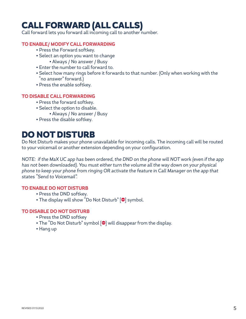# CALL FORWARD (ALL CALLS)

Call forward lets you forward all incoming call to another number.

#### **TO ENABLE/ MODIFY CALL FORWARDING**

- Press the Forward softkey.
- Select an option you want to change
	- Always / No answer / Busy
- Enter the number to call forward to.
- Select how many rings before it forwards to that number. (Only when working with the "no answer" forward.)
- Press the enable softkey.

#### **TO DISABLE CALL FORWARDING**

- Press the forward softkey.
- Select the option to disable.
	- Always / No answer / Busy
- Press the disable softkey.

### DO NOT DISTURB

Do Not Disturb makes your phone unavailable for incoming calls. The incoming call will be routed to your voicemail or another extension depending on your configuration.

*NOTE: if the MaX UC app has been ordered, the DND on the phone will NOT work (even if the app has not been downloaded). You must either turn the volume all the way down on your physical phone to keep your phone from ringing OR activate the feature in Call Manager on the app that states "Send to Voicemail".*

#### **TO ENABLE DO NOT DISTURB**

- Press the DND softkey.
- The display will show "Do Not Disturb"  $[$   $\bigcirc$  symbol.

#### **TO DISABLE DO NOT DISTURB**

- Press the DND softkey
- The "Do Not Disturb" symbol  $[\bigcirc]$  will disappear from the display.
- Hang up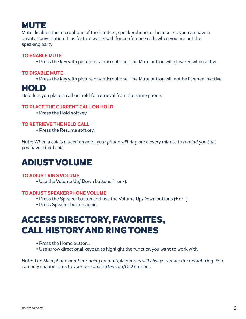### **MUTE**

Mute disables the microphone of the handset, speakerphone, or headset so you can have a private conversation. This feature works well for conference calls when you are not the speaking party.

#### **TO ENABLE MUTE**

• Press the key with picture of a microphone. The Mute button will glow red when active.

#### **TO DISABLE MUTE**

• Press the key with picture of a microphone. The Mute button will not be lit when inactive.

### **HOLD**

Hold lets you place a call on hold for retrieval from the same phone.

#### **TO PLACE THE CURRENT CALL ON HOLD**

• Press the Hold softkey

#### **TO RETRIEVE THE HELD CALL**

• Press the Resume softkey.

*Note: When a call is placed on hold, your phone will ring once every minute to remind you that you have a held call.*

### ADJUST VOLUME

#### **TO ADJUST RING VOLUME**

• Use the Volume Up/ Down buttons (+ or -).

#### **TO ADJUST SPEAKERPHONE VOLUME**

- Press the Speaker button and use the Volume Up/Down buttons (+ or -).
- Press Speaker button again.

# ACCESS DIRECTORY, FAVORITES, CALL HISTORY AND RING TONES

- Press the Home button..
- Use arrow directional keypad to highlight the function you want to work with.

*Note: The Main phone number ringing on multiple phones will always remain the default ring. You can only change rings to your personal extension/DID number.*